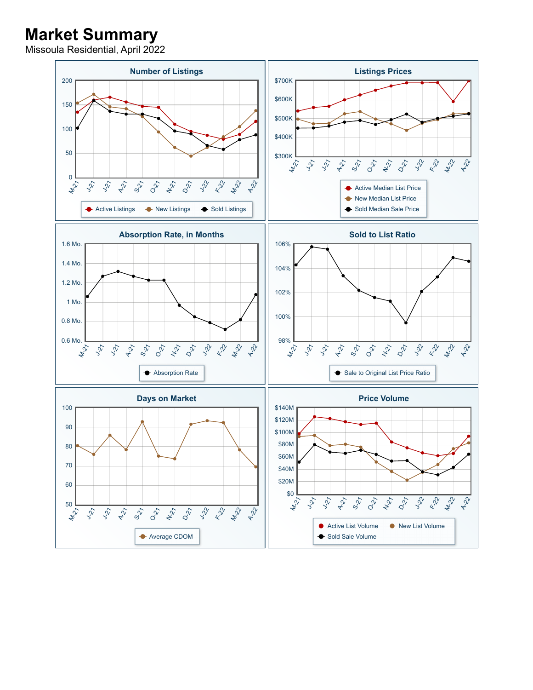## **Market Summary**

Missoula Residential, April 2022

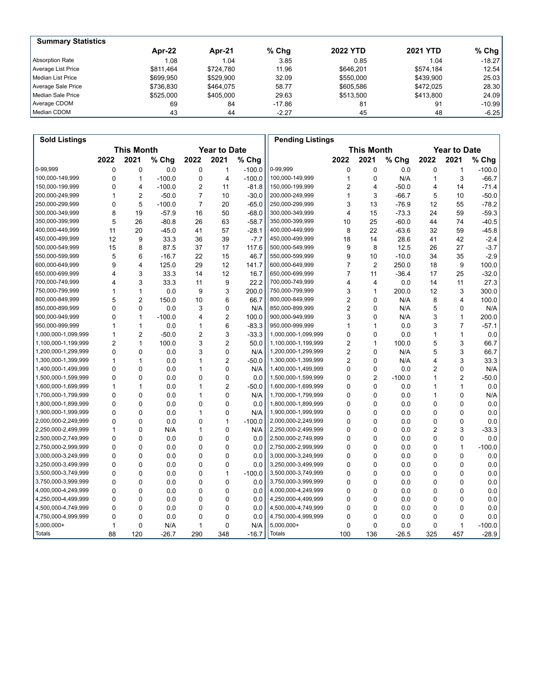| <b>Summary Statistics</b> |           |           |         |                 |                 |           |
|---------------------------|-----------|-----------|---------|-----------------|-----------------|-----------|
|                           | Apr-22    | Apr-21    | $%$ Chg | <b>2022 YTD</b> | <b>2021 YTD</b> | % Chg $ $ |
| Absorption Rate           | 1.08      | 1.04      | 3.85    | 0.85            | 1.04            | $-18.27$  |
| Average List Price        | \$811.464 | \$724.780 | 11.96   | \$646.201       | \$574.184       | 12.54     |
| Median List Price         | \$699.950 | \$529.900 | 32.09   | \$550,000       | \$439.900       | 25.03     |
| Average Sale Price        | \$736.830 | \$464.075 | 58.77   | \$605.586       | \$472.025       | 28.30     |
| Median Sale Price         | \$525,000 | \$405,000 | 29.63   | \$513.500       | \$413,800       | 24.09     |
| Average CDOM              | 69        | 84        | -17.86  | 81              | 91              | $-10.99$  |
| Median CDOM               | 43        | 44        | $-2.27$ | 45              | 48              | $-6.25$   |

| <b>Sold Listings</b> |                                          |                |          |                |                |                   | <b>Pending Listings</b> |                         |                |          |                |              |          |
|----------------------|------------------------------------------|----------------|----------|----------------|----------------|-------------------|-------------------------|-------------------------|----------------|----------|----------------|--------------|----------|
|                      | <b>Year to Date</b><br><b>This Month</b> |                |          |                |                | <b>This Month</b> |                         | <b>Year to Date</b>     |                |          |                |              |          |
|                      | 2022                                     | 2021           | % Chg    | 2022           | 2021           | % Chg             |                         | 2022                    | 2021           | % Chg    | 2022           | 2021         | % Chg    |
| 0-99.999             | 0                                        | $\mathbf 0$    | 0.0      | $\Omega$       | 1              | $-100.0$          | 0-99,999                | 0                       | $\mathbf 0$    | 0.0      | 0              | $\mathbf{1}$ | $-100.0$ |
| 100,000-149,999      | $\Omega$                                 | $\mathbf{1}$   | $-100.0$ | 0              | 4              | $-100.0$          | 100,000-149,999         | 1                       | 0              | N/A      | 1              | 3            | $-66.7$  |
| 150,000-199,999      | 0                                        | 4              | $-100.0$ | $\overline{2}$ | 11             | $-81.8$           | 150,000-199,999         | $\overline{2}$          | 4              | $-50.0$  | 4              | 14           | $-71.4$  |
| 200,000-249,999      | 1                                        | $\overline{2}$ | $-50.0$  | $\overline{7}$ | 10             | $-30.0$           | 200,000-249,999         | 1                       | 3              | $-66.7$  | 5              | 10           | $-50.0$  |
| 250,000-299,999      | 0                                        | 5              | $-100.0$ | $\overline{7}$ | 20             | $-65.0$           | 250,000-299,999         | 3                       | 13             | $-76.9$  | 12             | 55           | $-78.2$  |
| 300,000-349,999      | 8                                        | 19             | $-57.9$  | 16             | 50             | $-68.0$           | 300,000-349,999         | $\overline{\mathbf{4}}$ | 15             | $-73.3$  | 24             | 59           | $-59.3$  |
| 350,000-399,999      | 5                                        | 26             | $-80.8$  | 26             | 63             | $-58.7$           | 350,000-399,999         | 10                      | 25             | $-60.0$  | 44             | 74           | $-40.5$  |
| 400,000-449,999      | 11                                       | 20             | $-45.0$  | 41             | 57             | $-28.1$           | 400,000-449,999         | 8                       | 22             | $-63.6$  | 32             | 59           | $-45.8$  |
| 450,000-499,999      | 12                                       | 9              | 33.3     | 36             | 39             | $-7.7$            | 450,000-499,999         | 18                      | 14             | 28.6     | 41             | 42           | $-2.4$   |
| 500,000-549,999      | 15                                       | 8              | 87.5     | 37             | 17             | 117.6             | 500,000-549,999         | 9                       | 8              | 12.5     | 26             | 27           | $-3.7$   |
| 550,000-599,999      | 5                                        | 6              | $-16.7$  | 22             | 15             | 46.7              | 550,000-599,999         | 9                       | 10             | $-10.0$  | 34             | 35           | $-2.9$   |
| 600,000-649,999      | 9                                        | 4              | 125.0    | 29             | 12             | 141.7             | 600,000-649,999         | $\overline{7}$          | $\overline{2}$ | 250.0    | 18             | 9            | 100.0    |
| 650,000-699,999      | 4                                        | 3              | 33.3     | 14             | 12             | 16.7              | 650,000-699,999         | 7                       | 11             | $-36.4$  | 17             | 25           | $-32.0$  |
| 700,000-749,999      | 4                                        | 3              | 33.3     | 11             | 9              | 22.2              | 700,000-749,999         | 4                       | 4              | 0.0      | 14             | 11           | 27.3     |
| 750,000-799,999      | 1                                        | $\mathbf{1}$   | 0.0      | 9              | 3              | 200.0             | 750,000-799,999         | 3                       | $\mathbf{1}$   | 200.0    | 12             | 3            | 300.0    |
| 800,000-849,999      | 5                                        | $\overline{2}$ | 150.0    | 10             | 6              | 66.7              | 800,000-849,999         | 2                       | 0              | N/A      | 8              | 4            | 100.0    |
| 850,000-899,999      | 0                                        | $\Omega$       | 0.0      | 3              | 0              | N/A               | 850,000-899,999         | 2                       | $\mathbf 0$    | N/A      | 5              | 0            | N/A      |
| 900,000-949,999      | $\Omega$                                 | $\mathbf{1}$   | $-100.0$ | 4              | $\overline{2}$ | 100.0             | 900,000-949,999         | 3                       | $\Omega$       | N/A      | 3              | 1            | 200.0    |
| 950,000-999,999      | 1                                        | $\mathbf{1}$   | 0.0      | 1              | 6              | $-83.3$           | 950,000-999,999         | 1                       | $\mathbf{1}$   | 0.0      | 3              | 7            | $-57.1$  |
| 1,000,000-1,099,999  | 1                                        | $\overline{2}$ | $-50.0$  | 2              | 3              | $-33.3$           | 1,000,000-1,099,999     | $\Omega$                | $\mathbf{0}$   | 0.0      | 1              | 1            | 0.0      |
| 1,100,000-1,199,999  | $\overline{2}$                           | $\mathbf{1}$   | 100.0    | 3              | $\overline{2}$ | 50.0              | 1,100,000-1,199,999     | 2                       | $\mathbf{1}$   | 100.0    | 5              | 3            | 66.7     |
| 1,200,000-1,299,999  | $\Omega$                                 | $\Omega$       | 0.0      | 3              | 0              | N/A               | 1,200,000-1,299,999     | 2                       | 0              | N/A      | 5              | 3            | 66.7     |
| 1,300,000-1,399,999  | 1                                        | $\mathbf{1}$   | 0.0      | 1              | $\overline{2}$ | $-50.0$           | 1,300,000-1,399,999     | $\overline{2}$          | 0              | N/A      | 4              | 3            | 33.3     |
| 1,400,000-1,499,999  | $\Omega$                                 | $\mathbf 0$    | 0.0      | $\mathbf{1}$   | 0              | N/A               | 1,400,000-1,499,999     | $\mathbf 0$             | $\mathbf 0$    | 0.0      | $\overline{2}$ | 0            | N/A      |
| 1,500,000-1,599,999  | $\Omega$                                 | $\Omega$       | 0.0      | 0              | 0              | 0.0               | 1,500,000-1,599,999     | 0                       | $\overline{2}$ | $-100.0$ | 1              | 2            | $-50.0$  |
| 1,600,000-1,699,999  | 1                                        | $\mathbf{1}$   | 0.0      | 1              | $\overline{2}$ | $-50.0$           | 1,600,000-1,699,999     | $\Omega$                | $\Omega$       | 0.0      | 1              | 1            | 0.0      |
| 1,700,000-1,799,999  | $\Omega$                                 | $\Omega$       | 0.0      | 1              | 0              | N/A               | 1,700,000-1,799,999     | 0                       | $\mathbf 0$    | 0.0      | 1              | 0            | N/A      |
| 1,800,000-1,899,999  | $\Omega$                                 | $\mathbf 0$    | 0.0      | $\mathbf 0$    | 0              | 0.0               | 1,800,000-1,899,999     | $\Omega$                | 0              | 0.0      | 0              | 0            | 0.0      |
| 1,900,000-1,999,999  | $\Omega$                                 | $\Omega$       | 0.0      | 1              | 0              | N/A               | 1,900,000-1,999,999     | $\Omega$                | $\mathbf 0$    | 0.0      | 0              | 0            | 0.0      |
| 2,000,000-2,249,999  | $\Omega$                                 | $\Omega$       | 0.0      | 0              | $\mathbf{1}$   | $-100.0$          | 2,000,000-2,249,999     | $\Omega$                | $\Omega$       | 0.0      | 0              | 0            | 0.0      |
| 2,250,000-2,499,999  | 1                                        | $\Omega$       | N/A      | 1              | $\overline{0}$ | N/A               | 2,250,000-2,499,999     | $\Omega$                | 0              | 0.0      | 2              | 3            | $-33.3$  |
| 2,500,000-2,749,999  | $\Omega$                                 | $\Omega$       | 0.0      | 0              | 0              | 0.0               | 2,500,000-2,749,999     | $\Omega$                | 0              | 0.0      | 0              | 0            | 0.0      |
| 2,750,000-2,999,999  | $\Omega$                                 | $\mathbf 0$    | 0.0      | $\mathbf 0$    | 0              | 0.0               | 2,750,000-2,999,999     | $\Omega$                | 0              | 0.0      | 0              | 1            | $-100.0$ |
| 3,000,000-3,249,999  | $\Omega$                                 | $\Omega$       | 0.0      | 0              | 0              | 0.0               | 3,000,000-3,249,999     | $\Omega$                | $\mathbf 0$    | 0.0      | 0              | 0            | 0.0      |
| 3,250,000-3,499,999  | $\Omega$                                 | $\Omega$       | 0.0      | 0              | $\overline{0}$ | 0.0               | 3,250,000-3,499,999     | $\Omega$                | $\Omega$       | 0.0      | 0              | 0            | 0.0      |
| 3,500,000-3,749,999  | $\Omega$                                 | $\Omega$       | 0.0      | $\Omega$       | $\mathbf{1}$   | $-100.0$          | 3,500,000-3,749,999     | $\Omega$                | 0              | 0.0      | 0              | $\Omega$     | 0.0      |
| 3,750,000-3,999,999  | $\Omega$                                 | $\Omega$       | 0.0      | 0              | 0              | 0.0               | 3,750,000-3,999,999     | $\Omega$                | $\mathbf 0$    | 0.0      | 0              | 0            | 0.0      |
| 4,000,000-4,249,999  | $\Omega$                                 | $\mathbf 0$    | 0.0      | $\Omega$       | 0              | 0.0               | 4,000,000-4,249,999     | $\Omega$                | 0              | 0.0      | 0              | 0            | 0.0      |
| 4,250,000-4,499,999  | $\Omega$                                 | $\Omega$       | 0.0      | 0              | 0              | 0.0               | 4,250,000-4,499,999     | $\Omega$                | 0              | 0.0      | 0              | 0            | 0.0      |
| 4,500,000-4,749,999  | $\Omega$                                 | $\mathbf 0$    | 0.0      | 0              | 0              | 0.0               | 4,500,000-4,749,999     | $\Omega$                | 0              | 0.0      | 0              | 0            | 0.0      |
| 4,750,000-4,999,999  | $\Omega$                                 | $\mathbf 0$    | 0.0      | $\Omega$       | $\Omega$       | 0.0               | 4,750,000-4,999,999     | $\Omega$                | $\Omega$       | 0.0      | 0              | 0            | 0.0      |
| $5,000,000+$         | 1                                        | $\mathbf 0$    | N/A      | 1              | $\overline{0}$ | N/A               | $5,000,000+$            | $\mathbf 0$             | $\mathbf 0$    | 0.0      | 0              | 1            | $-100.0$ |
| Totals               | 88                                       | 120            | $-26.7$  | 290            | 348            | $-16.7$           | Totals                  | 100                     | 136            | $-26.5$  | 325            | 457          | $-28.9$  |